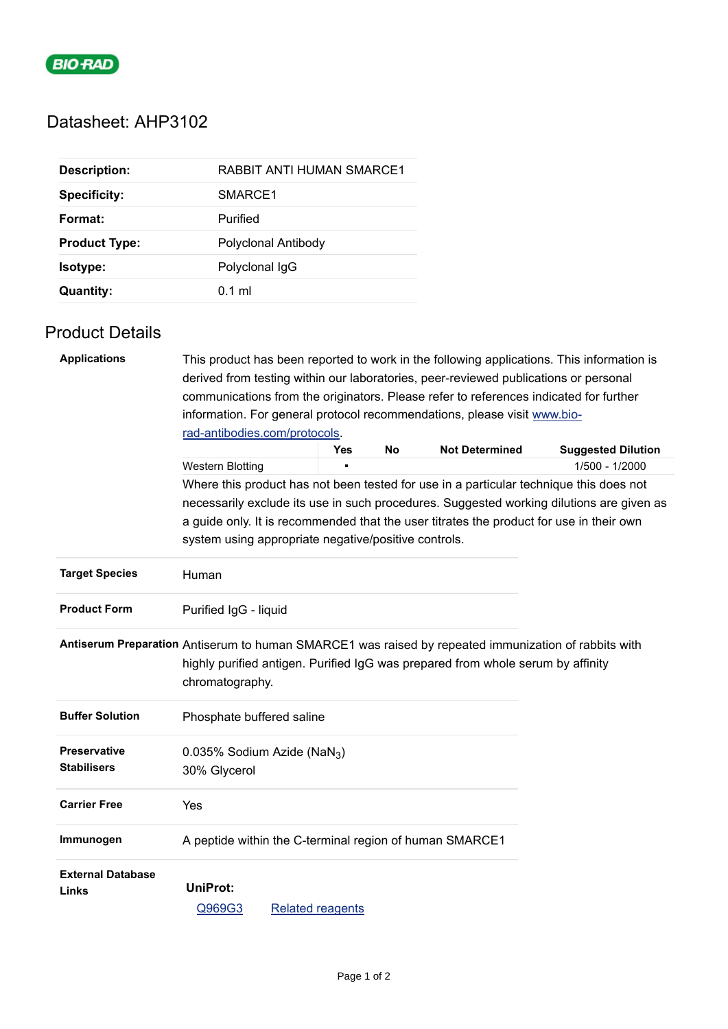

# Datasheet: AHP3102

| <b>Description:</b>  | <b>RABBIT ANTI HUMAN SMARCE1</b> |
|----------------------|----------------------------------|
| <b>Specificity:</b>  | SMARCE1                          |
| Format:              | Purified                         |
| <b>Product Type:</b> | Polyclonal Antibody              |
| Isotype:             | Polyclonal IgG                   |
| <b>Quantity:</b>     | $0.1$ ml                         |

# Product Details

| <b>Applications</b>                                                                                  | derived from testing within our laboratories, peer-reviewed publications or personal                                                                              |                         |           |                       | This product has been reported to work in the following applications. This information is |  |  |
|------------------------------------------------------------------------------------------------------|-------------------------------------------------------------------------------------------------------------------------------------------------------------------|-------------------------|-----------|-----------------------|-------------------------------------------------------------------------------------------|--|--|
|                                                                                                      | communications from the originators. Please refer to references indicated for further<br>information. For general protocol recommendations, please visit www.bio- |                         |           |                       |                                                                                           |  |  |
|                                                                                                      |                                                                                                                                                                   |                         |           |                       |                                                                                           |  |  |
|                                                                                                      | rad-antibodies.com/protocols.                                                                                                                                     |                         |           |                       |                                                                                           |  |  |
|                                                                                                      |                                                                                                                                                                   | <b>Yes</b>              | <b>No</b> | <b>Not Determined</b> | <b>Suggested Dilution</b>                                                                 |  |  |
|                                                                                                      | <b>Western Blotting</b>                                                                                                                                           |                         |           |                       | 1/500 - 1/2000                                                                            |  |  |
|                                                                                                      |                                                                                                                                                                   |                         |           |                       | Where this product has not been tested for use in a particular technique this does not    |  |  |
|                                                                                                      |                                                                                                                                                                   |                         |           |                       | necessarily exclude its use in such procedures. Suggested working dilutions are given as  |  |  |
|                                                                                                      | a guide only. It is recommended that the user titrates the product for use in their own                                                                           |                         |           |                       |                                                                                           |  |  |
|                                                                                                      | system using appropriate negative/positive controls.                                                                                                              |                         |           |                       |                                                                                           |  |  |
| <b>Target Species</b>                                                                                | Human                                                                                                                                                             |                         |           |                       |                                                                                           |  |  |
| <b>Product Form</b>                                                                                  | Purified IgG - liquid                                                                                                                                             |                         |           |                       |                                                                                           |  |  |
| Antiserum Preparation Antiserum to human SMARCE1 was raised by repeated immunization of rabbits with | highly purified antigen. Purified IgG was prepared from whole serum by affinity<br>chromatography.                                                                |                         |           |                       |                                                                                           |  |  |
| <b>Buffer Solution</b>                                                                               | Phosphate buffered saline                                                                                                                                         |                         |           |                       |                                                                                           |  |  |
| <b>Preservative</b>                                                                                  | 0.035% Sodium Azide (NaN <sub>3</sub> )                                                                                                                           |                         |           |                       |                                                                                           |  |  |
| <b>Stabilisers</b>                                                                                   | 30% Glycerol                                                                                                                                                      |                         |           |                       |                                                                                           |  |  |
| <b>Carrier Free</b>                                                                                  | Yes                                                                                                                                                               |                         |           |                       |                                                                                           |  |  |
| Immunogen                                                                                            | A peptide within the C-terminal region of human SMARCE1                                                                                                           |                         |           |                       |                                                                                           |  |  |
| <b>External Database</b>                                                                             | <b>UniProt:</b>                                                                                                                                                   |                         |           |                       |                                                                                           |  |  |
| Links                                                                                                |                                                                                                                                                                   |                         |           |                       |                                                                                           |  |  |
|                                                                                                      | Q969G3                                                                                                                                                            | <b>Related reagents</b> |           |                       |                                                                                           |  |  |